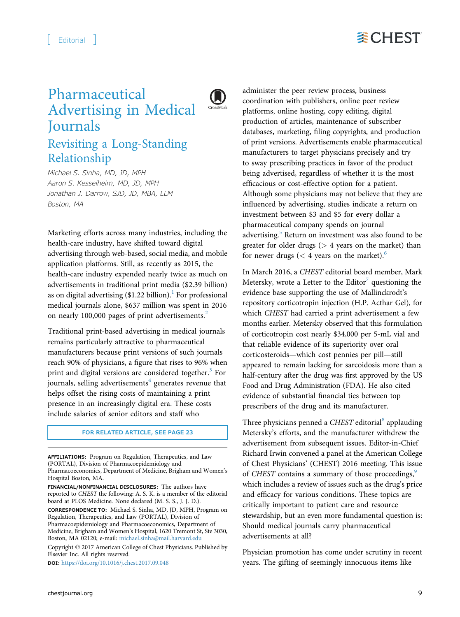

## Pharmaceutical Advertising in Medical **Journals**



## Revisiting a Long-Standing Relationship

Michael S. Sinha, MD, JD, MPH Aaron S. Kesselheim, MD, JD, MPH Jonathan J. Darrow, SJD, JD, MBA, LLM Boston, MA

Marketing efforts across many industries, including the health-care industry, have shifted toward digital advertising through web-based, social media, and mobile application platforms. Still, as recently as 2015, the health-care industry expended nearly twice as much on advertisements in traditional print media (\$2.39 billion) as on digital advertising  $(\$1.22$  $(\$1.22$  $(\$1.22$  billion).<sup>1</sup> For professional medical journals alone, \$637 million was spent in 2016 on nearly 100,000 pages of print advertisements.<sup>[2](#page-1-0)</sup>

Traditional print-based advertising in medical journals remains particularly attractive to pharmaceutical manufacturers because print versions of such journals reach 90% of physicians, a figure that rises to 96% when print and digital versions are considered together. $3$  For journals, selling advertisements $4$  generates revenue that helps offset the rising costs of maintaining a print presence in an increasingly digital era. These costs include salaries of senior editors and staff who

## FOR RELATED ARTICLE, SEE PAGE 23

AFFILIATIONS: Program on Regulation, Therapeutics, and Law (PORTAL), Division of Pharmacoepidemiology and Pharmacoeconomics, Department of Medicine, Brigham and Women's Hospital Boston, MA.

FINANCIAL/NONFINANCIAL DISCLOSURES: The authors have reported to CHEST the following: A. S. K. is a member of the editorial board at PLOS Medicine. None declared (M. S. S., J. J. D.). CORRESPONDENCE TO: Michael S. Sinha, MD, JD, MPH, Program on Regulation, Therapeutics, and Law (PORTAL), Division of Pharmacoepidemiology and Pharmacoeconomics, Department of Medicine, Brigham and Women's Hospital, 1620 Tremont St, Ste 3030, Boston, MA 02120; e-mail: [michael.sinha@mail.harvard.edu](mailto:michael.sinha@mail.harvard.edu)

Copyright © 2017 American College of Chest Physicians. Published by Elsevier Inc. All rights reserved.

DOI: <https://doi.org/10.1016/j.chest.2017.09.048>

administer the peer review process, business coordination with publishers, online peer review platforms, online hosting, copy editing, digital production of articles, maintenance of subscriber databases, marketing, filing copyrights, and production of print versions. Advertisements enable pharmaceutical manufacturers to target physicians precisely and try to sway prescribing practices in favor of the product being advertised, regardless of whether it is the most efficacious or cost-effective option for a patient. Although some physicians may not believe that they are influenced by advertising, studies indicate a return on investment between \$3 and \$5 for every dollar a pharmaceutical company spends on journal advertising.<sup>[5](#page-2-0)</sup> Return on investment was also found to be greater for older drugs  $(> 4$  years on the market) than for newer drugs ( $<$  4 years on the market).<sup>[6](#page-2-0)</sup>

In March 2016, a CHEST editorial board member, Mark Metersky, wrote a Letter to the Editor<sup>[7](#page-2-0)</sup> questioning the evidence base supporting the use of Mallinckrodt's repository corticotropin injection (H.P. Acthar Gel), for which CHEST had carried a print advertisement a few months earlier. Metersky observed that this formulation of corticotropin cost nearly \$34,000 per 5-mL vial and that reliable evidence of its superiority over oral corticosteroids—which cost pennies per pill—still appeared to remain lacking for sarcoidosis more than a half-century after the drug was first approved by the US Food and Drug Administration (FDA). He also cited evidence of substantial financial ties between top prescribers of the drug and its manufacturer.

Three physicians penned a CHEST editorial<sup>[8](#page-2-0)</sup> applauding Metersky's efforts, and the manufacturer withdrew the advertisement from subsequent issues. Editor-in-Chief Richard Irwin convened a panel at the American College of Chest Physicians' (CHEST) 2016 meeting. This issue of CHEST contains a summary of those proceedings,<sup>[9](#page-2-0)</sup> which includes a review of issues such as the drug's price and efficacy for various conditions. These topics are critically important to patient care and resource stewardship, but an even more fundamental question is: Should medical journals carry pharmaceutical advertisements at all?

Physician promotion has come under scrutiny in recent years. The gifting of seemingly innocuous items like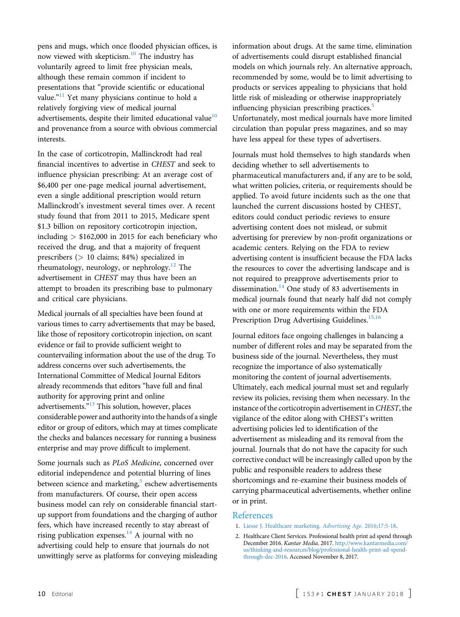<span id="page-1-0"></span>pens and mugs, which once flooded physician offices, is now viewed with skepticism.<sup>[10](#page-2-0)</sup> The industry has voluntarily agreed to limit free physician meals, although these remain common if incident to presentations that "provide scientific or educational value."<sup>[11](#page-2-0)</sup> Yet many physicians continue to hold a relatively forgiving view of medical journal advertisements, despite their limited educational value<sup>[10](#page-2-0)</sup> and provenance from a source with obvious commercial interests.

In the case of corticotropin, Mallinckrodt had real financial incentives to advertise in CHEST and seek to influence physician prescribing: At an average cost of \$6,400 per one-page medical journal advertisement, even a single additional prescription would return Mallinckrodt's investment several times over. A recent study found that from 2011 to 2015, Medicare spent \$1.3 billion on repository corticotropin injection, including  $>$  \$162,000 in 2015 for each beneficiary who received the drug, and that a majority of frequent prescribers (> 10 claims; 84%) specialized in rheumatology, neurology, or nephrology. $12$  The advertisement in CHEST may thus have been an attempt to broaden its prescribing base to pulmonary and critical care physicians.

Medical journals of all specialties have been found at various times to carry advertisements that may be based, like those of repository corticotropin injection, on scant evidence or fail to provide sufficient weight to countervailing information about the use of the drug. To address concerns over such advertisements, the International Committee of Medical Journal Editors already recommends that editors "have full and final authority for approving print and online advertisements."<sup>[13](#page-2-0)</sup> This solution, however, places considerable power and authority into the hands of a single editor or group of editors, which may at times complicate the checks and balances necessary for running a business enterprise and may prove difficult to implement.

Some journals such as PLoS Medicine, concerned over editorial independence and potential blurring of lines between science and marketing, $5$  eschew advertisements from manufacturers. Of course, their open access business model can rely on considerable financial startup support from foundations and the charging of author fees, which have increased recently to stay abreast of rising publication expenses. $^{14}$  A journal with no advertising could help to ensure that journals do not unwittingly serve as platforms for conveying misleading

information about drugs. At the same time, elimination of advertisements could disrupt established financial models on which journals rely. An alternative approach, recommended by some, would be to limit advertising to products or services appealing to physicians that hold little risk of misleading or otherwise inappropriately influencing physician prescribing practices.<sup>[5](#page-2-0)</sup> Unfortunately, most medical journals have more limited circulation than popular press magazines, and so may have less appeal for these types of advertisers.

Journals must hold themselves to high standards when deciding whether to sell advertisements to pharmaceutical manufacturers and, if any are to be sold, what written policies, criteria, or requirements should be applied. To avoid future incidents such as the one that launched the current discussions hosted by CHEST, editors could conduct periodic reviews to ensure advertising content does not mislead, or submit advertising for prereview by non-profit organizations or academic centers. Relying on the FDA to review advertising content is insufficient because the FDA lacks the resources to cover the advertising landscape and is not required to preapprove advertisements prior to dissemination. $14$  One study of 83 advertisements in medical journals found that nearly half did not comply with one or more requirements within the FDA Prescription Drug Advertising Guidelines.<sup>15,16</sup>

Journal editors face ongoing challenges in balancing a number of different roles and may be separated from the business side of the journal. Nevertheless, they must recognize the importance of also systematically monitoring the content of journal advertisements. Ultimately, each medical journal must set and regularly review its policies, revising them when necessary. In the instance of the corticotropin advertisement in CHEST, the vigilance of the editor along with CHEST's written advertising policies led to identification of the advertisement as misleading and its removal from the journal. Journals that do not have the capacity for such corrective conduct will be increasingly called upon by the public and responsible readers to address these shortcomings and re-examine their business models of carrying pharmaceutical advertisements, whether online or in print.

## References

- 1. [Liesse J. Healthcare marketing.](http://refhub.elsevier.com/S0012-3692(17)32898-2/sref1) Advertising Age. 2016;17:5-18.
- 2. Healthcare Client Services. Professional health print ad spend through December 2016. Kantar Media. 2017. [http://www.kantarmedia.com/](http://www.kantarmedia.com/us/thinking-and-resources/blog/professional-health-print-ad-spend-through-dec-2016) [us/thinking-and-resources/blog/professional-health-print-ad-spend](http://www.kantarmedia.com/us/thinking-and-resources/blog/professional-health-print-ad-spend-through-dec-2016)[through-dec-2016](http://www.kantarmedia.com/us/thinking-and-resources/blog/professional-health-print-ad-spend-through-dec-2016). Accessed November 8, 2017.